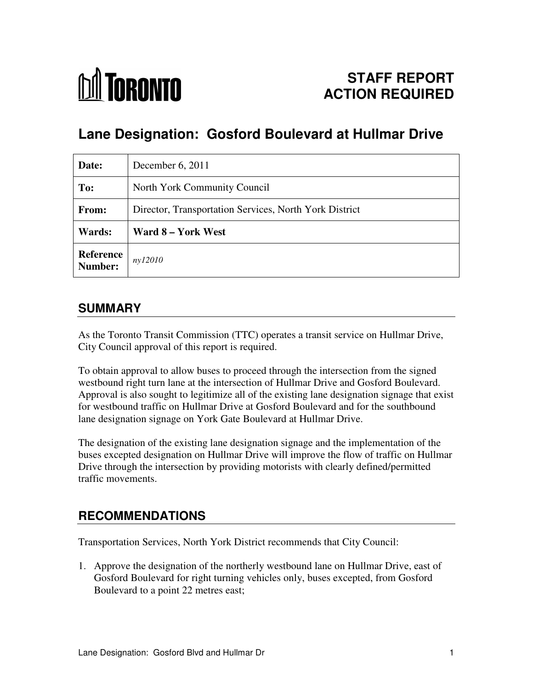

# **Lane Designation: Gosford Boulevard at Hullmar Drive**

| Date:                       | December 6, 2011                                       |
|-----------------------------|--------------------------------------------------------|
| To:                         | North York Community Council                           |
| From:                       | Director, Transportation Services, North York District |
| Wards:                      | Ward 8 – York West                                     |
| <b>Reference</b><br>Number: | ny12010                                                |

## **SUMMARY**

As the Toronto Transit Commission (TTC) operates a transit service on Hullmar Drive, City Council approval of this report is required.

To obtain approval to allow buses to proceed through the intersection from the signed westbound right turn lane at the intersection of Hullmar Drive and Gosford Boulevard. Approval is also sought to legitimize all of the existing lane designation signage that exist for westbound traffic on Hullmar Drive at Gosford Boulevard and for the southbound lane designation signage on York Gate Boulevard at Hullmar Drive.

The designation of the existing lane designation signage and the implementation of the buses excepted designation on Hullmar Drive will improve the flow of traffic on Hullmar Drive through the intersection by providing motorists with clearly defined/permitted traffic movements.

### **RECOMMENDATIONS**

Transportation Services, North York District recommends that City Council:

1. Approve the designation of the northerly westbound lane on Hullmar Drive, east of Gosford Boulevard for right turning vehicles only, buses excepted, from Gosford Boulevard to a point 22 metres east;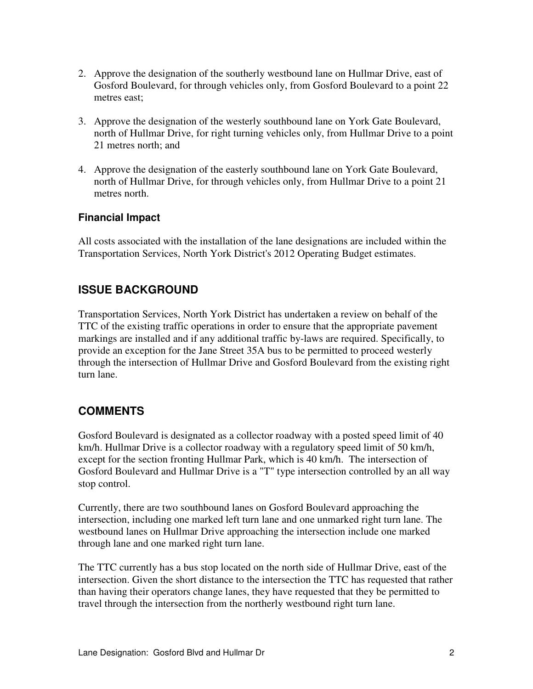- 2. Approve the designation of the southerly westbound lane on Hullmar Drive, east of Gosford Boulevard, for through vehicles only, from Gosford Boulevard to a point 22 metres east;
- 3. Approve the designation of the westerly southbound lane on York Gate Boulevard, north of Hullmar Drive, for right turning vehicles only, from Hullmar Drive to a point 21 metres north; and
- 4. Approve the designation of the easterly southbound lane on York Gate Boulevard, north of Hullmar Drive, for through vehicles only, from Hullmar Drive to a point 21 metres north.

#### **Financial Impact**

All costs associated with the installation of the lane designations are included within the Transportation Services, North York District's 2012 Operating Budget estimates.

#### **ISSUE BACKGROUND**

Transportation Services, North York District has undertaken a review on behalf of the TTC of the existing traffic operations in order to ensure that the appropriate pavement markings are installed and if any additional traffic by-laws are required. Specifically, to provide an exception for the Jane Street 35A bus to be permitted to proceed westerly through the intersection of Hullmar Drive and Gosford Boulevard from the existing right turn lane.

#### **COMMENTS**

Gosford Boulevard is designated as a collector roadway with a posted speed limit of 40 km/h. Hullmar Drive is a collector roadway with a regulatory speed limit of 50 km/h, except for the section fronting Hullmar Park, which is 40 km/h. The intersection of Gosford Boulevard and Hullmar Drive is a "T" type intersection controlled by an all way stop control.

Currently, there are two southbound lanes on Gosford Boulevard approaching the intersection, including one marked left turn lane and one unmarked right turn lane. The westbound lanes on Hullmar Drive approaching the intersection include one marked through lane and one marked right turn lane.

The TTC currently has a bus stop located on the north side of Hullmar Drive, east of the intersection. Given the short distance to the intersection the TTC has requested that rather than having their operators change lanes, they have requested that they be permitted to travel through the intersection from the northerly westbound right turn lane.